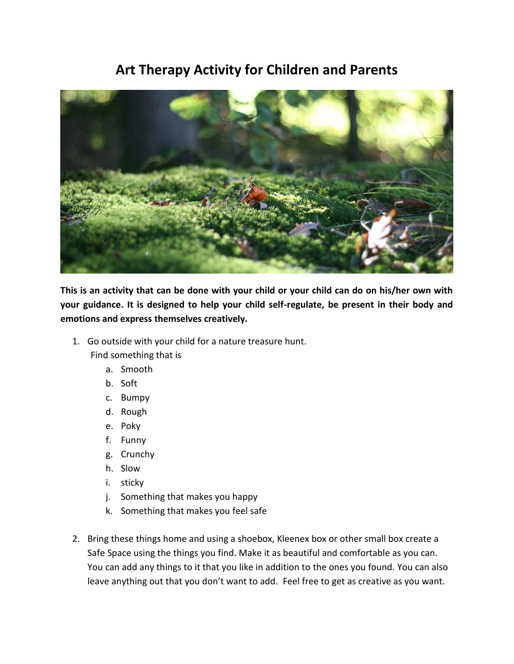## **Art Therapy Activity for Children and Parents**



**This is an activity that can be done with your child or your child can do on his/her own with your guidance. It is designed to help your child self-regulate, be present in their body and emotions and express themselves creatively.** 

1. Go outside with your child for a nature treasure hunt.

Find something that is

- a. Smooth
- b. Soft
- c. Bumpy
- d. Rough
- e. Poky
- f. Funny
- g. Crunchy
- h. Slow
- i. sticky
- j. Something that makes you happy
- k. Something that makes you feel safe
- 2. Bring these things home and using a shoebox, Kleenex box or other small box create a Safe Space using the things you find. Make it as beautiful and comfortable as you can. You can add any things to it that you like in addition to the ones you found. You can also leave anything out that you don't want to add. Feel free to get as creative as you want.